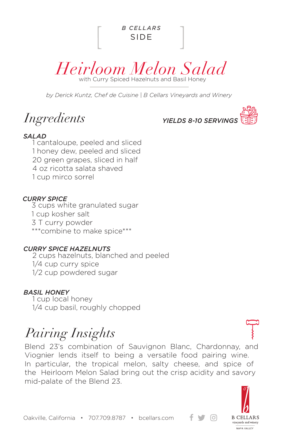



*by Derick Kuntz, Chef de Cuisine | B Cellars Vineyards and Winery*

*Ingredients*



### *SALAD*

1 cantaloupe, peeled and sliced 1 honey dew, peeled and sliced 20 green grapes, sliced in half 4 oz ricotta salata shaved 1 cup mirco sorrel

### *CURRY SPICE*

3 cups white granulated sugar 1 cup kosher salt 3 T curry powder \*\*\*combine to make spice\*\*\*

### *CURRY SPICE HAZELNUTS*

2 cups hazelnuts, blanched and peeled 1/4 cup curry spice 1/2 cup powdered sugar

### *BASIL HONEY*

1 cup local honey 1/4 cup basil, roughly chopped

# *Pairing Insights*

Blend 23's combination of Sauvignon Blanc, Chardonnay, and Viognier lends itself to being a versatile food pairing wine. In particular, the tropical melon, salty cheese, and spice of the Heirloom Melon Salad bring out the crisp acidity and savory mid-palate of the Blend 23.



 $\lceil$ Oʻl